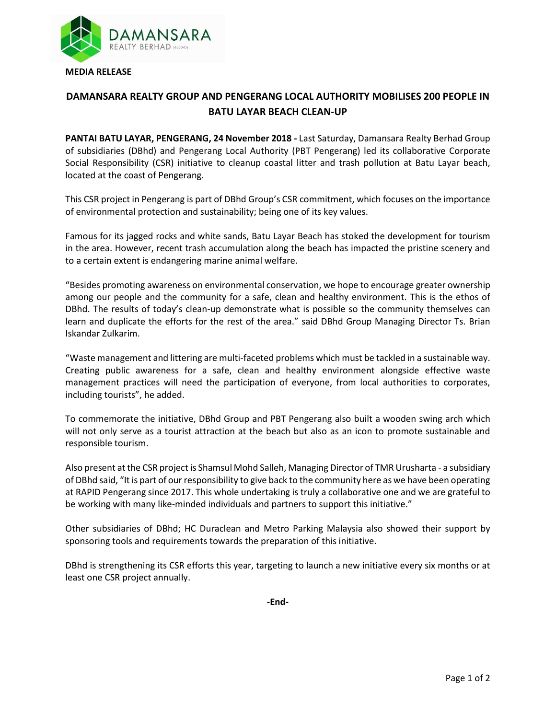

## **DAMANSARA REALTY GROUP AND PENGERANG LOCAL AUTHORITY MOBILISES 200 PEOPLE IN BATU LAYAR BEACH CLEAN-UP**

**PANTAI BATU LAYAR, PENGERANG, 24 November 2018 -** Last Saturday, Damansara Realty Berhad Group of subsidiaries (DBhd) and Pengerang Local Authority (PBT Pengerang) led its collaborative Corporate Social Responsibility (CSR) initiative to cleanup coastal litter and trash pollution at Batu Layar beach, located at the coast of Pengerang.

This CSR project in Pengerang is part of DBhd Group's CSR commitment, which focuses on the importance of environmental protection and sustainability; being one of its key values.

Famous for its jagged rocks and white sands, Batu Layar Beach has stoked the development for tourism in the area. However, recent trash accumulation along the beach has impacted the pristine scenery and to a certain extent is endangering marine animal welfare.

"Besides promoting awareness on environmental conservation, we hope to encourage greater ownership among our people and the community for a safe, clean and healthy environment. This is the ethos of DBhd. The results of today's clean-up demonstrate what is possible so the community themselves can learn and duplicate the efforts for the rest of the area." said DBhd Group Managing Director Ts. Brian Iskandar Zulkarim.

"Waste management and littering are multi-faceted problems which must be tackled in a sustainable way. Creating public awareness for a safe, clean and healthy environment alongside effective waste management practices will need the participation of everyone, from local authorities to corporates, including tourists", he added.

To commemorate the initiative, DBhd Group and PBT Pengerang also built a wooden swing arch which will not only serve as a tourist attraction at the beach but also as an icon to promote sustainable and responsible tourism.

Also present at the CSR project is Shamsul Mohd Salleh, Managing Director of TMR Urusharta - a subsidiary of DBhd said, "It is part of our responsibility to give back to the community here as we have been operating at RAPID Pengerang since 2017. This whole undertaking is truly a collaborative one and we are grateful to be working with many like-minded individuals and partners to support this initiative."

Other subsidiaries of DBhd; HC Duraclean and Metro Parking Malaysia also showed their support by sponsoring tools and requirements towards the preparation of this initiative.

DBhd is strengthening its CSR efforts this year, targeting to launch a new initiative every six months or at least one CSR project annually.

**-End-**